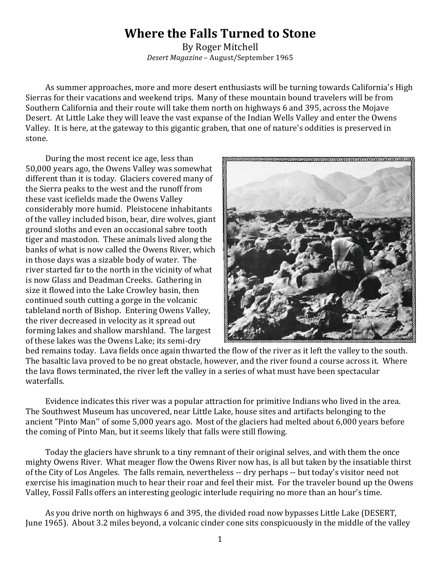## Where the Falls Turned to Stone

By Roger Mitchell Desert Magazine - August/September 1965

As summer approaches, more and more desert enthusiasts will be turning towards California's High Sierras for their vacations and weekend trips. Many of these mountain bound travelers will be from Southern California and their route will take them north on highways 6 and 395, across the Mojave Desert. At Little Lake they will leave the vast expanse of the Indian Wells Valley and enter the Owens Valley. It is here, at the gateway to this gigantic graben, that one of nature's oddities is preserved in stone.

During the most recent ice age, less than 50,000 years ago, the Owens Valley was somewhat different than it is today. Glaciers covered many of the Sierra peaks to the west and the runoff from these vast icefields made the Owens Valley considerably more humid. Pleistocene inhabitants of the valley included bison, bear, dire wolves, giant ground sloths and even an occasional sabre tooth tiger and mastodon. These animals lived along the banks of what is now called the Owens River, which in those days was a sizable body of water. The river started far to the north in the vicinity of what is now Glass and Deadman Creeks. Gathering in size it flowed into the Lake Crowley basin, then continued south cutting a gorge in the volcanic tableland north of Bishop. Entering Owens Valley. the river decreased in velocity as it spread out forming lakes and shallow marshland. The largest of these lakes was the Owens Lake; its semi-dry



bed remains today. Lava fields once again thwarted the flow of the river as it left the valley to the south. The basaltic lava proved to be no great obstacle, however, and the river found a course across it. Where the lava flows terminated, the river left the valley in a series of what must have been spectacular waterfalls.

Evidence indicates this river was a popular attraction for primitive Indians who lived in the area. The Southwest Museum has uncovered, near Little Lake, house sites and artifacts belonging to the ancient "Pinto Man" of some 5,000 years ago. Most of the glaciers had melted about 6,000 years before the coming of Pinto Man, but it seems likely that falls were still flowing.

Today the glaciers have shrunk to a tiny remnant of their original selves, and with them the once mighty Owens River. What meager flow the Owens River now has, is all but taken by the insatiable thirst of the City of Los Angeles. The falls remain, nevertheless -- dry perhaps -- but today's visitor need not exercise his imagination much to hear their roar and feel their mist. For the traveler bound up the Owens Valley, Fossil Falls offers an interesting geologic interlude requiring no more than an hour's time.

As you drive north on highways 6 and 395, the divided road now bypasses Little Lake (DESERT, June 1965). About 3.2 miles beyond, a volcanic cinder cone sits conspicuously in the middle of the valley